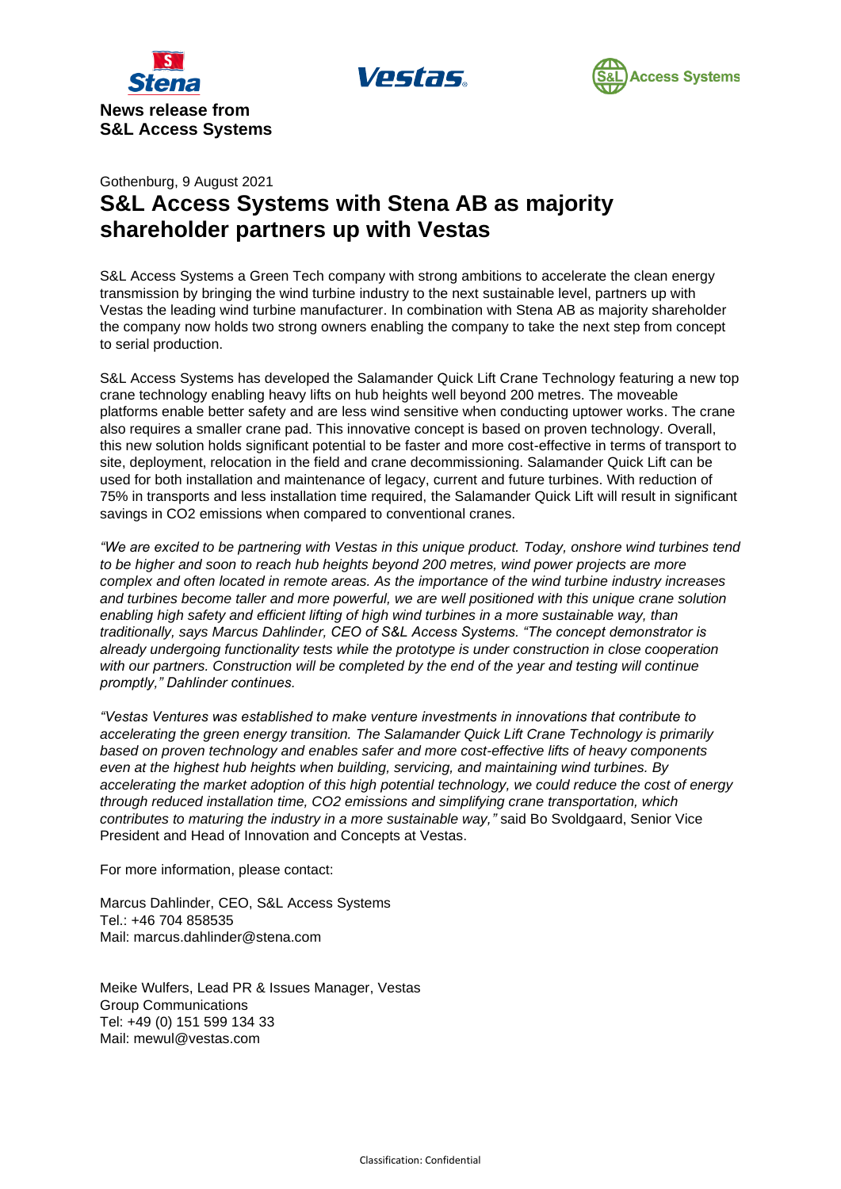





## Gothenburg, 9 August 2021 **S&L Access Systems with Stena AB as majority shareholder partners up with Vestas**

S&L Access Systems a Green Tech company with strong ambitions to accelerate the clean energy transmission by bringing the wind turbine industry to the next sustainable level, partners up with Vestas the leading wind turbine manufacturer. In combination with Stena AB as majority shareholder the company now holds two strong owners enabling the company to take the next step from concept to serial production.

S&L Access Systems has developed the Salamander Quick Lift Crane Technology featuring a new top crane technology enabling heavy lifts on hub heights well beyond 200 metres. The moveable platforms enable better safety and are less wind sensitive when conducting uptower works. The crane also requires a smaller crane pad. This innovative concept is based on proven technology. Overall, this new solution holds significant potential to be faster and more cost-effective in terms of transport to site, deployment, relocation in the field and crane decommissioning. Salamander Quick Lift can be used for both installation and maintenance of legacy, current and future turbines. With reduction of 75% in transports and less installation time required, the Salamander Quick Lift will result in significant savings in CO2 emissions when compared to conventional cranes.

*"We are excited to be partnering with Vestas in this unique product. Today, onshore wind turbines tend to be higher and soon to reach hub heights beyond 200 metres, wind power projects are more complex and often located in remote areas. As the importance of the wind turbine industry increases and turbines become taller and more powerful, we are well positioned with this unique crane solution enabling high safety and efficient lifting of high wind turbines in a more sustainable way, than traditionally, says Marcus Dahlinder, CEO of S&L Access Systems. "The concept demonstrator is already undergoing functionality tests while the prototype is under construction in close cooperation*  with our partners. Construction will be completed by the end of the year and testing will continue *promptly," Dahlinder continues.* 

*"Vestas Ventures was established to make venture investments in innovations that contribute to accelerating the green energy transition. The Salamander Quick Lift Crane Technology is primarily based on proven technology and enables safer and more cost-effective lifts of heavy components even at the highest hub heights when building, servicing, and maintaining wind turbines. By accelerating the market adoption of this high potential technology, we could reduce the cost of energy through reduced installation time, CO2 emissions and simplifying crane transportation, which contributes to maturing the industry in a more sustainable way,"* said Bo Svoldgaard, Senior Vice President and Head of Innovation and Concepts at Vestas.

For more information, please contact:

Marcus Dahlinder, CEO, S&L Access Systems Tel.: +46 704 858535 Mail: marcus.dahlinder@stena.com

Meike Wulfers, Lead PR & Issues Manager, Vestas Group Communications Tel: +49 (0) 151 599 134 33 Mail: mewul@vestas.com